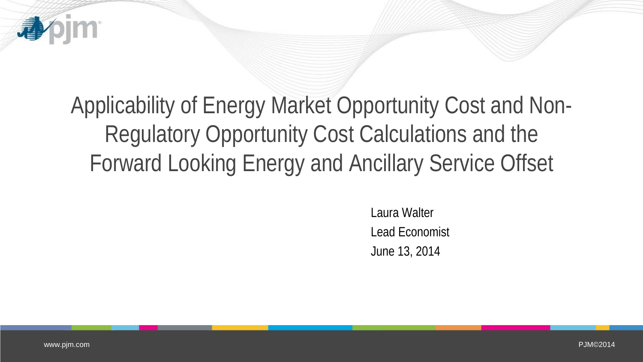

Forward Looking Energy and Ancillary Service Offset

Laura Walter Lead Economist June 13, 2014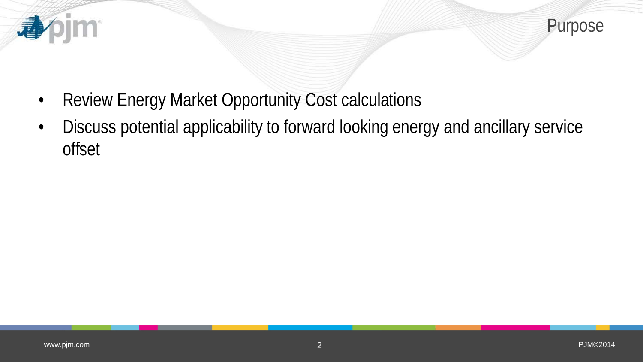



- Review Energy Market Opportunity Cost calculations
- Discuss potential applicability to forward looking energy and ancillary service offset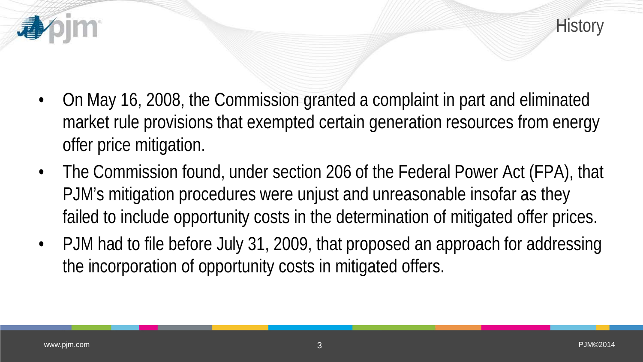

- On May 16, 2008, the Commission granted a complaint in part and eliminated market rule provisions that exempted certain generation resources from energy offer price mitigation.
- The Commission found, under section 206 of the Federal Power Act (FPA), that PJM's mitigation procedures were unjust and unreasonable insofar as they failed to include opportunity costs in the determination of mitigated offer prices.
- PJM had to file before July 31, 2009, that proposed an approach for addressing the incorporation of opportunity costs in mitigated offers.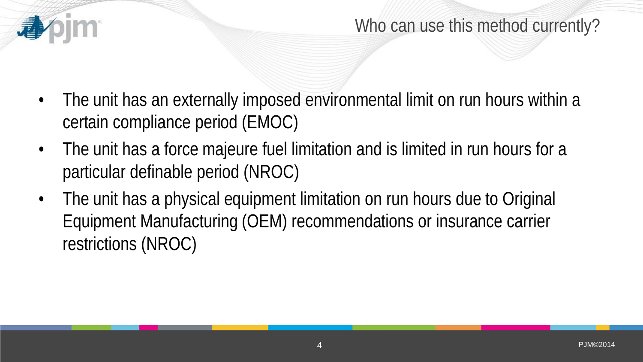

### Who can use this method currently?

- The unit has an externally imposed environmental limit on run hours within a certain compliance period (EMOC)
- The unit has a force majeure fuel limitation and is limited in run hours for a particular definable period (NROC)
- The unit has a physical equipment limitation on run hours due to Original Equipment Manufacturing (OEM) recommendations or insurance carrier restrictions (NROC)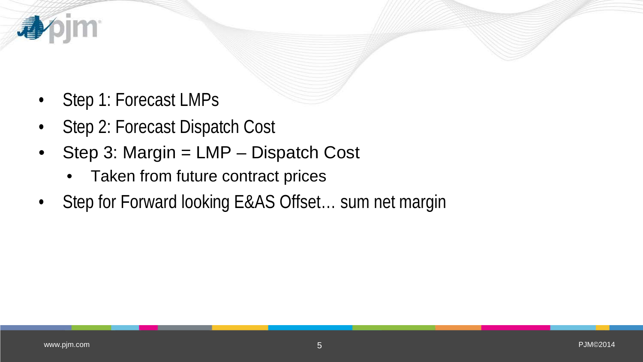

*im* 

看

- Step 2: Forecast Dispatch Cost
- Step 3: Margin = LMP Dispatch Cost
	- Taken from future contract prices
- Step for Forward looking E&AS Offset... sum net margin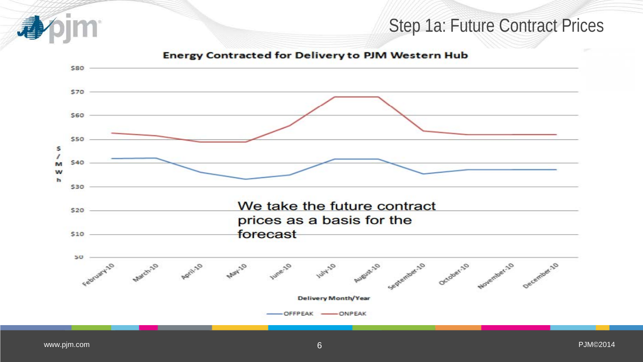#### Step 1a: Future Contract Prices

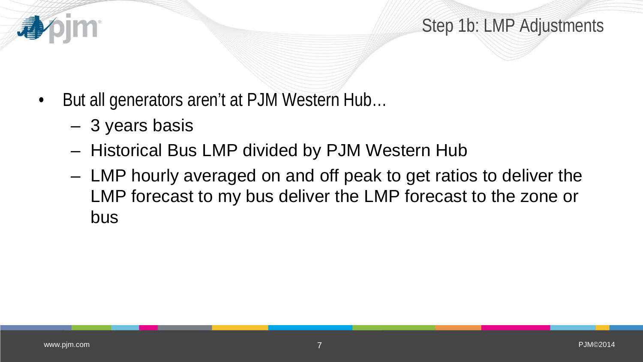Step 1b: LMP Adjustments

- But all generators aren't at PJM Western Hub...
	- 3 years basis
	- Historical Bus LMP divided by PJM Western Hub
	- LMP hourly averaged on and off peak to get ratios to deliver the LMP forecast to my bus deliver the LMP forecast to the zone or bus

看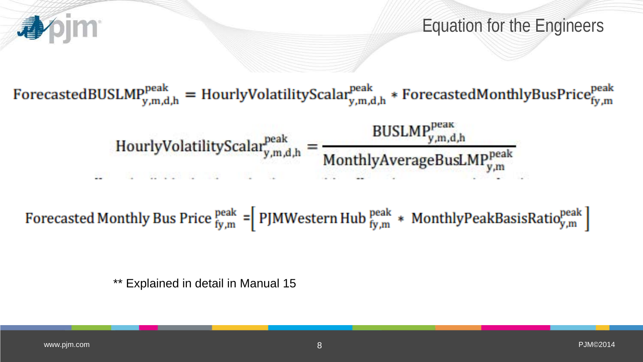

Equation for the Engineers

ForecastedBUSLMP<sub>y,m,d,h</sub> = HourlyVolatilityScalar<sub>y,m,d,h</sub> \* ForecastedMonthlyBusPrice<sub>fy,m</sub>

 $\text{BUSLMP}_{y,m,d,h}^{\text{peak}}$ HourlyVolatilityScalar<sub>y,m,d,h</sub> MonthlyAverageBusLMPpeak 2010년 12월 19일 개발 : 12월 11일 12월

Forecasted Monthly Bus Price  $_{fy,m}^{peak}$  = PJMWestern Hub  $_{fy,m}^{peak}$  \* MonthlyPeakBasisRatio $_{y,m}^{peak}$ 

\*\* Explained in detail in Manual 15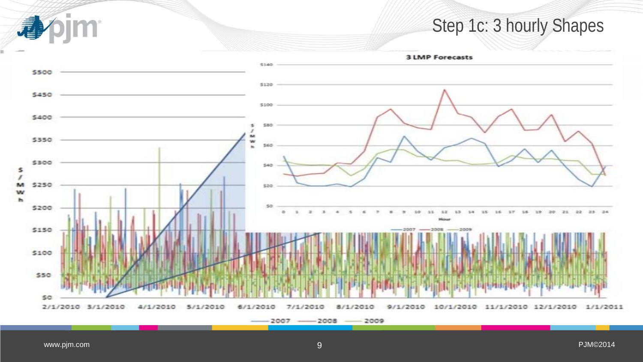## Step 1c: 3 hourly Shapes

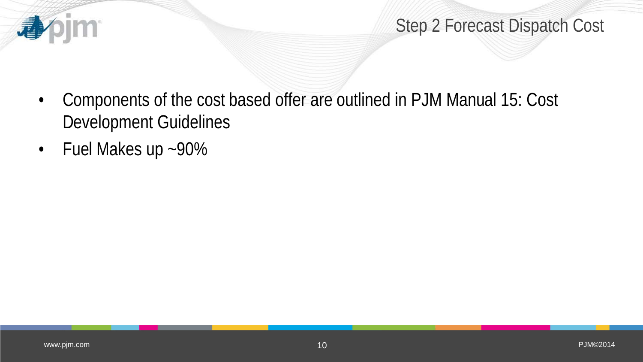

- Components of the cost based offer are outlined in PJM Manual 15: Cost Development Guidelines
- Fuel Makes up ~90%

**心**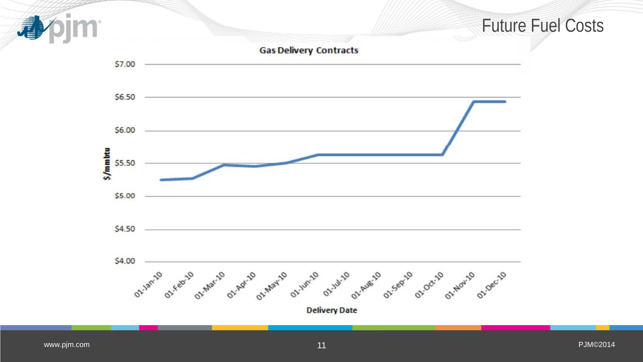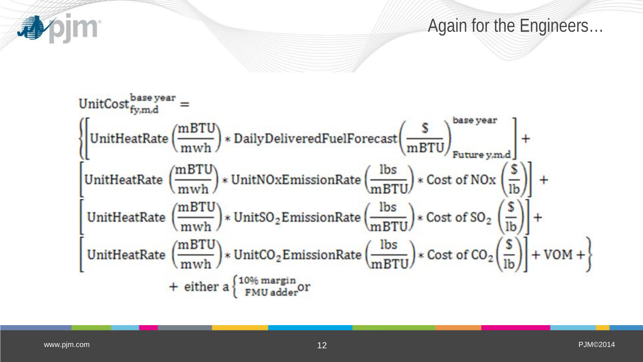Again for the Engineers…

![](_page_11_Figure_1.jpeg)

**APPIM**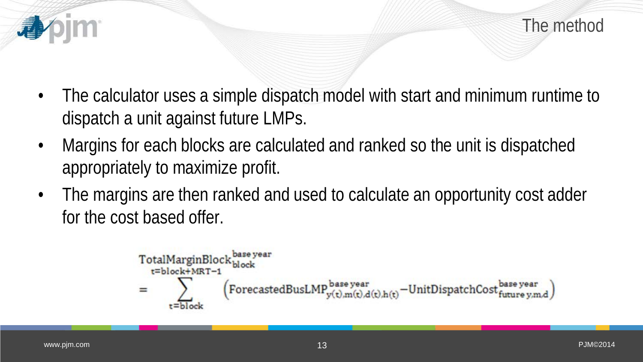- The calculator uses a simple dispatch model with start and minimum runtime to dispatch a unit against future LMPs.
- Margins for each blocks are calculated and ranked so the unit is dispatched appropriately to maximize profit.
- The margins are then ranked and used to calculate an opportunity cost adder for the cost based offer.

$$
\begin{aligned} & \text{TotalMarginBlock}^{\text{base year}}_{block+MRT-1} \\ & = \sum_{t = block}^{\sum_{\text{block} \in \text{Block}}}\left(\text{ForecastedBusLMP}^{\text{base year}}_{y(t),m(t),d(t),h(t)} - \text{UnitDispatchCost}^{\text{base year}}_{future\,y,m,d}\right) \end{aligned}
$$